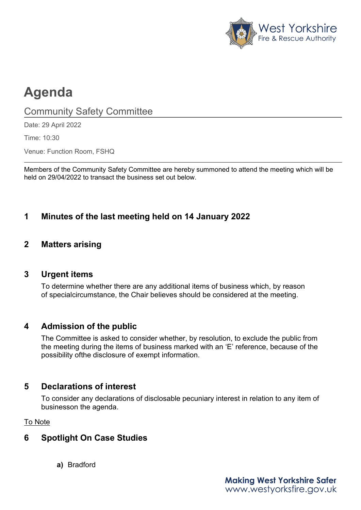

# **Agenda**

Community Safety Committee

Date: 29 April 2022

Time: 10:30

Venue: Function Room, FSHQ

Members of the Community Safety Committee are hereby summoned to attend the meeting which will be held on 29/04/2022 to transact the business set out below.

# **1 Minutes of the last meeting held on 14 January 2022**

## **2 Matters arising**

#### **3 Urgent items**

To determine whether there are any additional items of business which, by reason of special circumstance, the Chair believes should be considered at the meeting.

#### **4 Admission of the public**

The Committee is asked to consider whether, by resolution, to exclude the public from the meeting during the items of business marked with an 'E' reference, because of the possibility ofthe disclosure of exempt information.

# **5 Declarations of interest**

To consider any declarations of disclosable pecuniary interest in relation to any item of businesson the agenda.

To Note

# **6 Spotlight On Case Studies**

**a)** Bradford